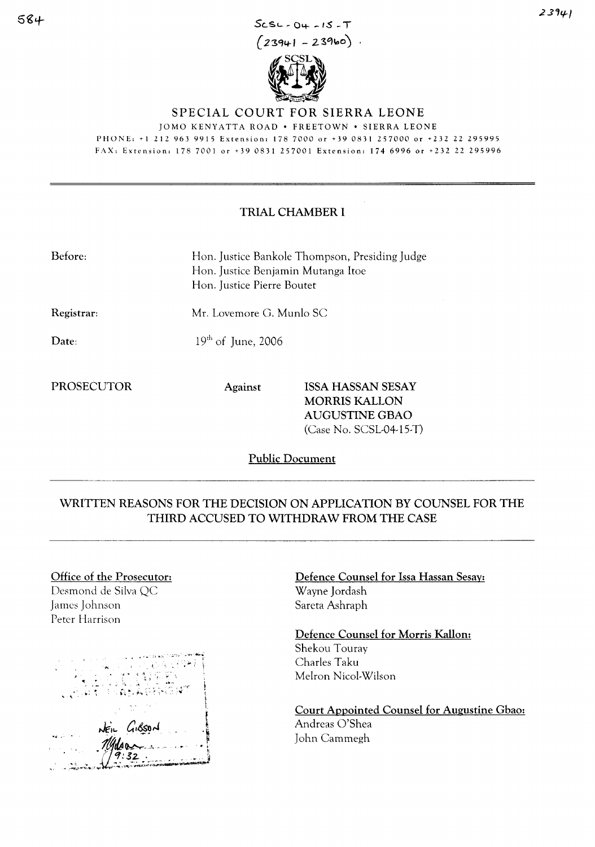

### SPECIAL COURT FOR SIERRA LEONE

lOMO KENYATTA ROAD· FREETOWN· SIERRA LEONE PHONE: + 1 212 963 9915 Extension: 178 7000 or +39 0831 257000 or +232 22 295995

FAX: Extension: 1787001 or +390831257001 Extension: 1746996 or +232 22 295996

## TRIAL CHAMBER I

| Before: | Hon. Justice Bankole Thompson, Presiding Judge |
|---------|------------------------------------------------|
|         | Hon. Justice Benjamin Mutanga Itoe             |
|         | Hon. Justice Pierre Boutet                     |
|         |                                                |

Registrar: Mr. Lovemore G. Munlo SC

Date:

 $19<sup>th</sup>$  of June, 2006

PROSECUTOR Against ISSA HASSAN SESAY MORRIS KALLON AUGUSTINE GBAO (Case No. SCSL-04-15-T)

Public Document

# WRITTEN REASONS FOR THE DECISION ON APPLICATION BY COUNSEL FOR THE THIRD ACCUSED TO WITHDRAW FROM THE CASE

## Office of the Prosecutor:

Desmond de Silva QC James Johnson Peter Harrison



Defence Counsel for Issa Hassan Sesay: Wayne Jordash Sareta Ashraph

Defence Counsel for Morris Kallon: Shekou Touray Charles Taku Melron Nicol-Wilson

Court Appointed Counsel for Augustine Gbao: Andreas O'Shea John Cammegh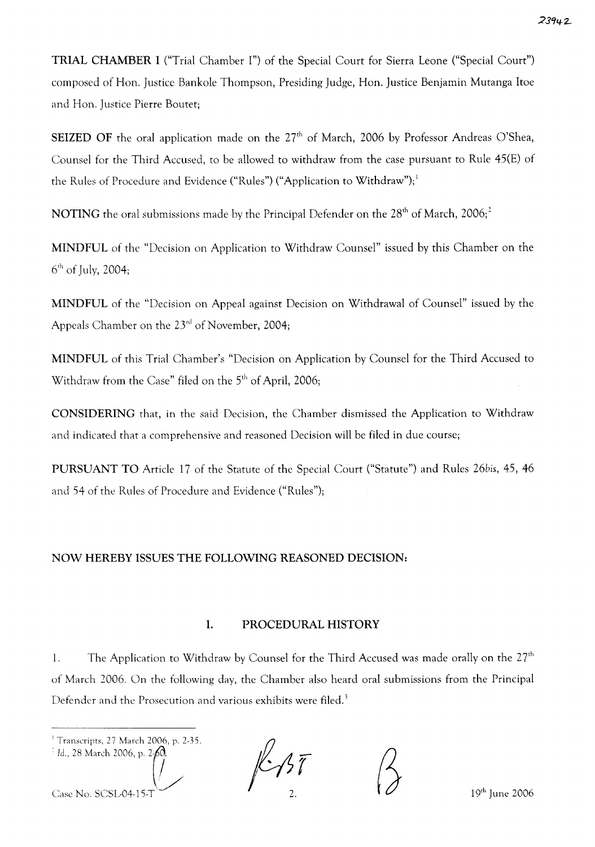TRIAL CHAMBER I ("Trial Chamber I") of the Special Court for Sierra Leone ("Special Court") composed of Hon. Justice Bankole Thompson, Presiding Judge, Hon. Justice Benjamin Mutanga !toe and Hon. Justice Pierre Boutet;

SEIZED OF the oral application made on the  $27<sup>th</sup>$  of March, 2006 by Professor Andreas O'Shea, Counsel for the Third Accused, to be allowed to withdraw from the case pursuant to Rule 45(E) of the Rules of Procedure and Evidence ("Rules") ("Application to Withdraw");<sup>1</sup>

NOTING the oral submissions made by the Principal Defender on the  $28<sup>th</sup>$  of March,  $2006<sub>i</sub><sup>2</sup>$ 

MINDFUL of the "Decision on Application to Withdraw Counsel" issued by this Chamber on the  $6<sup>th</sup>$  of July, 2004;

MINDFUL of the "Decision on Appeal against Decision on Withdrawal of Counsel" issued by the Appeals Chamber on the 23<sup>rd</sup> of November, 2004;

MINDFUL of this Trial Chamber's "Decision on Application by Counsel for the Third Accused to Withdraw from the Case" filed on the  $5<sup>th</sup>$  of April, 2006;

CONSIDERING that, in the said Decision, the Chamber dismissed the Application to Withdraw and indicated that a comprehensive and reasoned Decision will be filed in due course;

PURSUANT TO Article 17 of the Statute of the Special Court ("Statute") and Rules 26bis, 45, 46 and 54 of the Rules of Procedure and Evidence ("Rules");

# NOW HEREBY ISSUES THE FOLLOWING REASONED DECISION:

## 1. PROCEDURAL HISTORY

1. The Application to Withdraw by Counsel for the Third Accused was made orally on the  $27<sup>th</sup>$ of March 2006. On the following day, the Chamber also heard oral submissions from the Principal Defender and the Prosecution and various exhibits were filed.<sup>3</sup>

<sup>j</sup> Transcripts, 27 March 2006, p. 2·35.  $\degree$  Id., 28 March 2006, p. 2 $\cancel{60}$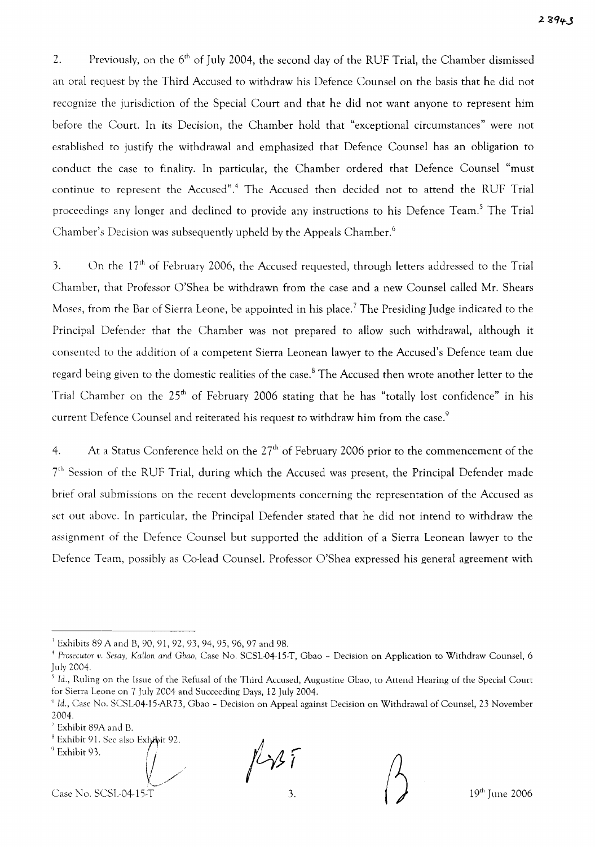2. Previously, on the  $6<sup>th</sup>$  of July 2004, the second day of the RUF Trial, the Chamber dismissed an oral request by the Third Accused to withdraw his Defence Counsel on the basis that he did not recognize the jurisdiction of the Special Court and that he did not want anyone to represent him before the Court. In its Decision, the Chamber hold that "exceptional circumstances" were not established to justify the withdrawal and emphasized that Defence Counsel has an obligation to conduct the case to finality. In particular, the Chamber ordered that Defence Counsel "must continue to represent the Accused".4 The Accused then decided not to attend the RUF Trial proceedings any longer and declined to provide any instructions to his Defence Team.<sup>5</sup> The Trial Chamber's Decision was subsequently upheld by the Appeals Chamber.<sup>6</sup>

3. On the 17<sup>th</sup> of February 2006, the Accused requested, through letters addressed to the Trial Chamber, that Professor O'Shea be withdrawn from the case and a new Counsel called Mr. Shears Moses, from the Bar of Sierra Leone, be appointed in his place.<sup>7</sup> The Presiding Judge indicated to the Principal Defender that the Chamber was not prepared to allow such withdrawal, although it consented to the addition of a competent Sierra Leonean lawyer to the Accused's Defence team due regard being given to the domestic realities of the case.<sup>8</sup> The Accused then wrote another letter to the Trial Chamber on the  $25<sup>th</sup>$  of February 2006 stating that he has "totally lost confidence" in his current Defence Counsel and reiterated his request to withdraw him from the case.<sup>9</sup>

4. At a Status Conference held on the  $27<sup>th</sup>$  of February 2006 prior to the commencement of the 7<sup>th</sup> Session of the RUF Trial, during which the Accused was present, the Principal Defender made brief oral submissions on the recent developments concerning the representation of the Accused as set out above. In particular, the Principal Defender stated that he did not intend to withdraw the assignment of the Defence Counsel but supported the addition of a Sierra Leonean lawyer to the Defence Team, possibly as Co-lead Counsel. Professor O'Shea expressed his general agreement with

,) Exhibit 93. *ij'*

 $\beta$ 

Case No. SCSL-04-15-T

<sup>&</sup>lt;sup>3</sup> Exhibits 89 A and B, 90, 91, 92, 93, 94, 95, 96, 97 and 98.

<sup>4</sup> *Prosecutor v. Sesay, Kalton and Gbao,* Case No. SCSL-04-15-T, Gbao - Decision on Application to Withdraw Counsel, 6 July 2004.

<sup>5</sup> *Id.,* Ruling on the Issue of the Refusal of the Third Accused, Augustine Gbao, to Attend Hearing of the Special Court for Sierra Leone on 7 July 2004 and Succeeding Days, 12 July 2004.

<sup>&</sup>lt;sup>o</sup> Id., Case No. SCSL-04-15-AR73, Gbao - Decision on Appeal against Decision on Withdrawal of Counsel, 23 November 2004.

<sup>7</sup> Exhibit 89A and B.

<sup>&</sup>lt;sup>8</sup> Exhibit 91. See also Exhibit 92.  $\int_{\sqrt{2}}^{\ln(192.1)}$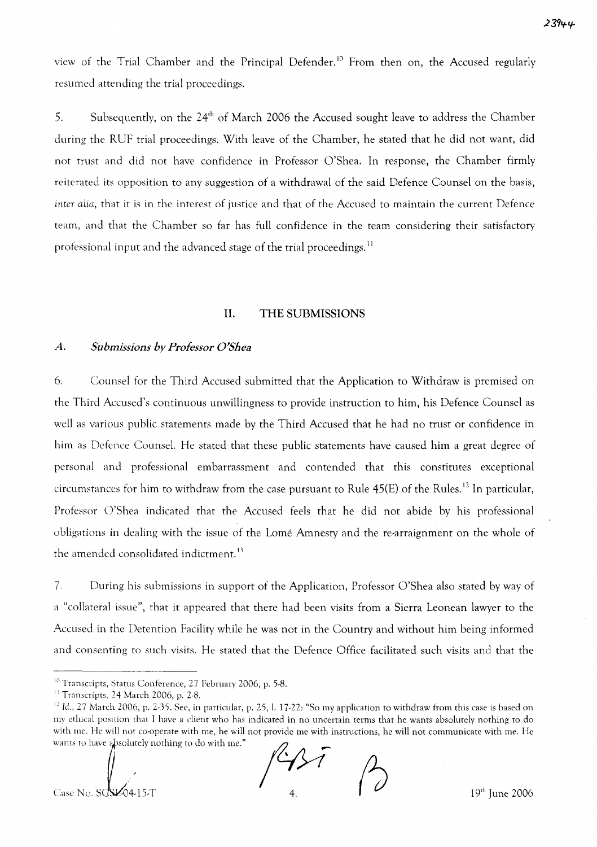view of the Trial Chamber and the Principal Defender.<sup>10</sup> From then on, the Accused regularly resumed attending the trial proceedings.

5. Subsequently, on the  $24<sup>th</sup>$  of March 2006 the Accused sought leave to address the Chamber during the RUF trial proceedings. With leave of the Chamber, he stated that he did not want, did not trust and did not have confidence in Professor O'Shea. In response, the Chamber firmly reiterated its opposition to any suggestion of a withdrawal of the said Defence Counsel on the basis, *inter alia*, that it is in the interest of justice and that of the Accused to maintain the current Defence team, and that the Chamber so far has full confidence in the team considering their satisfactory professional input and the advanced stage of the trial proceedings.<sup>11</sup>

#### II. THE SUBMISSIONS

#### *A. Submissions by Professor O'Shea*

6. Counsel for the Third Accused submitted that the Application to Withdraw is premised on the Third Accused's continuous unwillingness to provide instruction to him, his Defence Counsel as well as various public statements made by the Third Accused that he had no trust or confidence in him as Defence Counsel. He stated that these public statements have caused him a great degree of personal and professional embarrassment and contended that this constitutes exceptional circumstances for him to withdraw from the case pursuant to Rule  $45(E)$  of the Rules.<sup>12</sup> In particular, Professor O'Shea indicated that the Accused feels that he did not abide by his professional obligations in dealing with the issue of the Lome Amnesty and the re-arraignment on the whole of the amended consolidated indictment.<sup>13</sup>

7. During his submissions in support of the Application, Professor O'Shea also stated by way of a "collateral issue", that it appeared that there had been visits from a Sierra Leonean lawyer to the Accused in the Detention Facility while he was not in the Country and without him being informed and consenting to such visits. He stated that the Defence Office facilitated such visits and that the

Case No. SCSL<sup>6</sup>04-15-T  $\overline{4}$   $\overline{4}$   $\overline{1}$   $\overline{2006}$ 

<sup>&</sup>lt;sup>10</sup> Transcripts, Status Conference, 27 February 2006, p. 5-8.

<sup>&</sup>lt;sup>11</sup> Transcripts, 24 March 2006, p. 2-8.

 $12$  Id., 27 March 2006, p. 2-35. See, in particular, p. 25, l. 17-22: "So my application to withdraw from this case is based on my ethical position that I have a client who has indicated in no uncertain terms that he wants absolutely nothing to do with me. He will not co-operate with me, he will not provide me with instructions, he will not communicate with me. He wants to have absolutely nothing to do with me."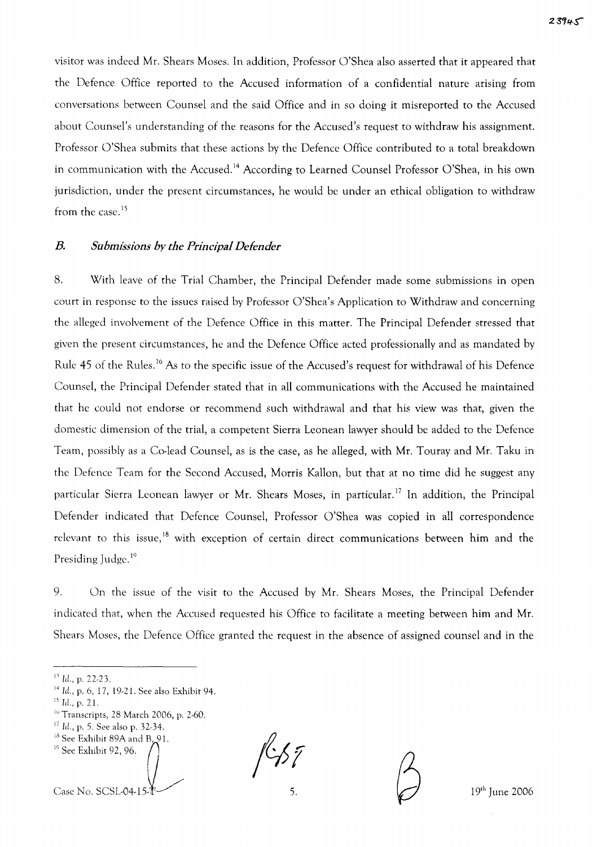visitor was indeed Mr. Shears Moses. In addition, Professor O'Shea also asserted that it appeared that the Defence Office reported to the Accused information of a confidential nature arising from conversations between Counsel and the said Office and in so doing it misreported to the Accused about Counsel's understanding of the reasons for the Accused's request to withdraw his assignment. Professor O'Shea submits that these actions by the Defence Office contributed to a total breakdown in communication with the Accused.<sup>14</sup> According to Learned Counsel Professor O'Shea, in his own jurisdiction, under the present circumstances, he would be under an ethical obligation to withdraw from the case.<sup>15</sup>

## *B. Submissions by the Principal Defender*

8. With leave of the Trial Chamber, the Principal Defender made some submissions in open court in response to the issues raised by Professor O'Shea's Application to Withdraw and concerning the alleged involvement of the Defence Office in this matter. The Principal Defender stressed that given the present circumstances, he and the Defence Office acted professionally and as mandated by Rule 45 of the Rules.<sup>16</sup> As to the specific issue of the Accused's request for withdrawal of his Defence Counsel, the Principal Defender stated that in all communications with the Accused he maintained that he could not endorse or recommend such withdrawal and that his view was that, given the domestic dimension of the trial, a competent Sierra Leonean lawyer should be added to the Defence Team, possibly as a Co-lead Counsel, as is the case, as he alleged, with Mr. Touray and Mr. Taku in the Defence Team for the Second Accused, Morris Kallon, but that at no time did he suggest any particular Sierra Leonean lawyer or Mr. Shears Moses, in particular.<sup>17</sup> In addition, the Principal Defender indicated that Defence Counsel, Professor O'Shea was copied in all correspondence relevant to this issue,<sup>18</sup> with exception of certain direct communications between him and the Presiding Judge.<sup>19</sup>

9. On the issue of the visit to the Accused by Mr. Shears Moses, the Principal Defender indicated that, when the Accused requested his Office to facilitate a meeting between him and Mr. Shears Moses, the Defence Office granted the request in the absence of assigned counsel and in the

Case No. SCSL-04-15 $\sqrt[4]{\frac{19^{\text{th}}}{{\text{lune } 2006}}}$ 



 $13$  Id., p. 22-23.

<sup>14</sup> Id., p. 6, 17, 19·21. See also Exhibit 94.

<sup>15</sup> Id., p. 21.

<sup>&</sup>lt;sup>16</sup> Transcripts, 28 March 2006, p. 2-60.

<sup>17</sup> Id., p. 5. See also p. 32.34.

IS See Exhibit *89A* and B, 91.  $^{17}$  Id., p. 5. See also p. 32-34.<br><sup>18</sup> See Exhibit 89A and B, 91.<br><sup>19</sup> See Exhibit 92, 96.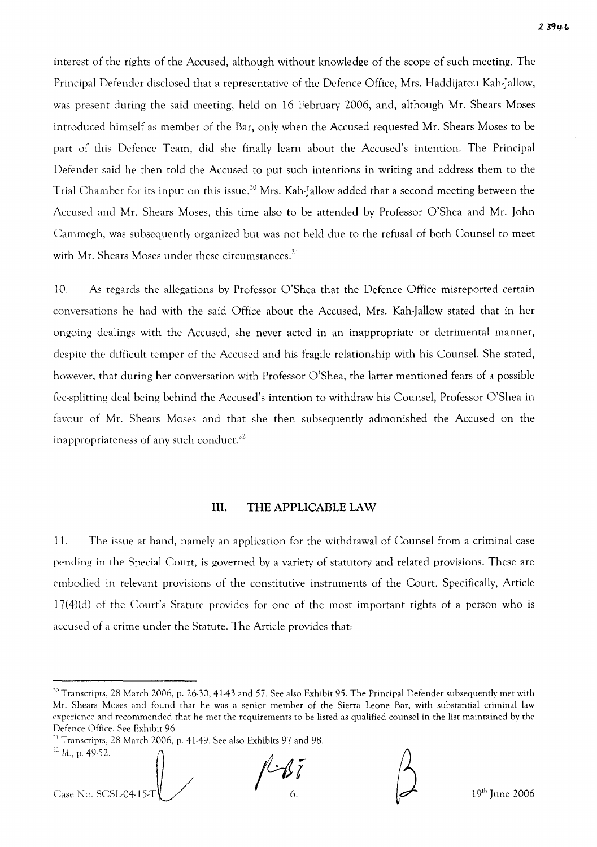interest of the rights of the Accused, although without knowledge of the scope of such meeting. The Principal Defender disclosed that a representative of the Defence Office, Mrs. Haddijatou Kah-Jallow, was present during the said meeting, held on 16 February 2006, and, although Mr. Shears Moses introduced himself as member of the Bar, only when the Accused requested Mr. Shears Moses to be part of this Defence Team, did she finally learn about the Accused's intention. The Principal Defender said he then told the Accused to put such intentions in writing and address them to the Trial Chamber for its input on this issue.<sup>20</sup> Mrs. Kah-Jallow added that a second meeting between the Accused and Mr. Shears Moses, this time also to be attended by Professor O'Shea and Mr. John Cammegh, was subsequently organized but was not held due to the refusal of both Counsel to meet with Mr. Shears Moses under these circumstances.<sup>21</sup>

10. As regards the allegations by Professor O'Shea that the Defence Office misreported certain conversations he had with the said Office about the Accused, Mrs. Kah-Jallow stated that in her ongoing dealings with the Accused, she never acted in an inappropriate or detrimental manner, despite the difficult temper of the Accused and his fragile relationship with his Counsel. She stated, however, that during her conversation with Professor O'Shea, the latter mentioned fears of a possible fee-splitting deal being behind the Accused's intention to withdraw his Counsel, Professor O'Shea in favour of Mr. Shears Moses and that she then subsequently admonished the Accused on the inappropriateness of any such conduct. <sup>22</sup>

#### **III. THE APPLICABLE LAW**

Il. The issue at hand, namely an application for the withdrawal of Counsel from a criminal case pending in the Special Court, is governed by a variety of statutory and related provisions. These are embodied in relevant provisions of the constitutive instruments of the Court. Specifically, Article 17(4)(d) of the Court's Statute provides for one of the most important rights of a person who is accused of a crime under the Statute. The Article provides that:

Case No. SCSL-04-15

19th June 2006

 $20$  Transcripts, 28 March 2006, p. 26-30, 41-43 and 57. See also Exhibit 95. The Principal Defender subsequently met with Mr. Shears Moses and found that he was a senior member of the Sierra Leone Bar, with substantial ctiminal law experience and tecommended that he met the requirements to be listed as qualified counsel in the list maintained by the Defence Office. See Exhibit 96.

<sup>&</sup>lt;sup>21</sup> Transcripts, 28 March 2006, p. 41-49. See also Exhibits 97 and 98.<br><sup>22</sup> Id., p. 49-52.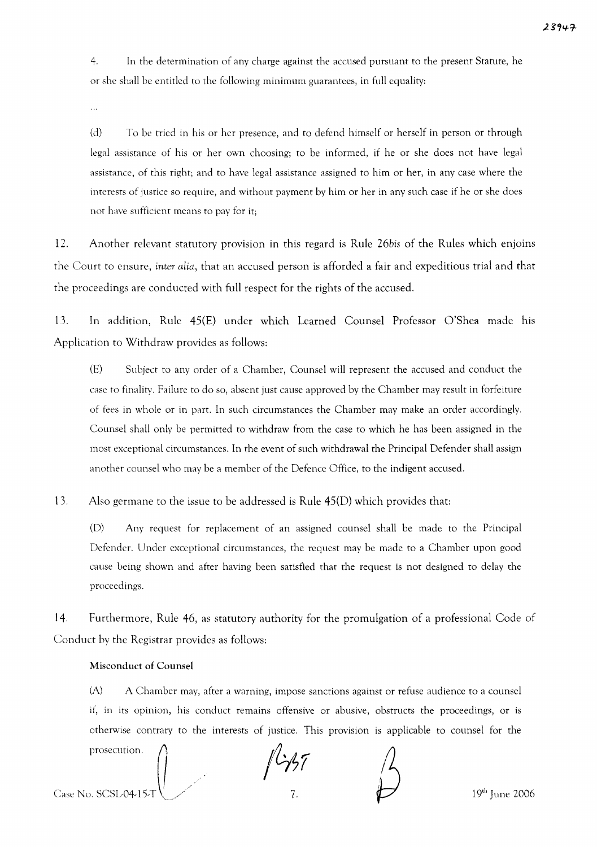4. In the determination of any charge against the accused pursuant to the present Statute, he or she shall be entitled to the following minimum guarantees, in full equality:

 $\dddotsc$ 

(d) To be tried in his or her presence, and to defend himself or herself in person or through legal assistance of his or her own choosing; to be informed, if he or she does not have legal assistance, of this right; and to have legal assistance assigned to him or her, in any case where the interests of justice so require, and without payment by him or her in any such case if he or she does not have sufficient means to pay for it;

12. Another relevant statutory provision in this regard is Rule *26bis* of the Rules which enjoins the Court to ensure, inter *alia,* that an accused person is afforded a fair and expeditious trial and that the proceedings are conducted with full respect for the rights of the accused.

13. In addition, Rule 45(E) under which Learned Counsel Professor O'Shea made his Application to Withdraw provides as follows:

(E) Subject to any order of a Chamber, Counsel will represent the accused and conduct the case to finality. Failure to do so, absent just cause approved by the Chamber may result in forfeiture of fees in whole or in part. In such circumstances the Chamber may make an order accordingly. Counsel shall only be permitted to withdraw from the case to which he has been assigned in the most exceptional circumstances. In the event of such withdrawal the Principal Defender shall assign another counsel who may be a member of the Defence Office, to the indigent accused.

13. Also germane to the issue to be addressed is Rule 45(D) which provides that:

(D) Any request for replacement of an assigned counsel shall be made to the Principal Defender. Under exceptional circumstances, the request may be made to a Chamber upon good cause being shown and after having been satisfied that the request is not designed to delay the proceedings.

14. Furthermore, Rule 46, as statutory authority for the promulgation of a professional Code of Conduct by the Registrar provides as follows:

#### Misconduct of Counsel

(A) A Chamber may, after a warning, impose sanctions against or refuse audience to a counsel if, in its opinion, his conduct remains offensive or abusive, obstructs the proceedings, or is otherwise contrary to the interests of justice. This provision is applicable to counsel for the

Case No. SCSL-04-15-

prosecution.

 $c_{\gamma\gamma\gamma}$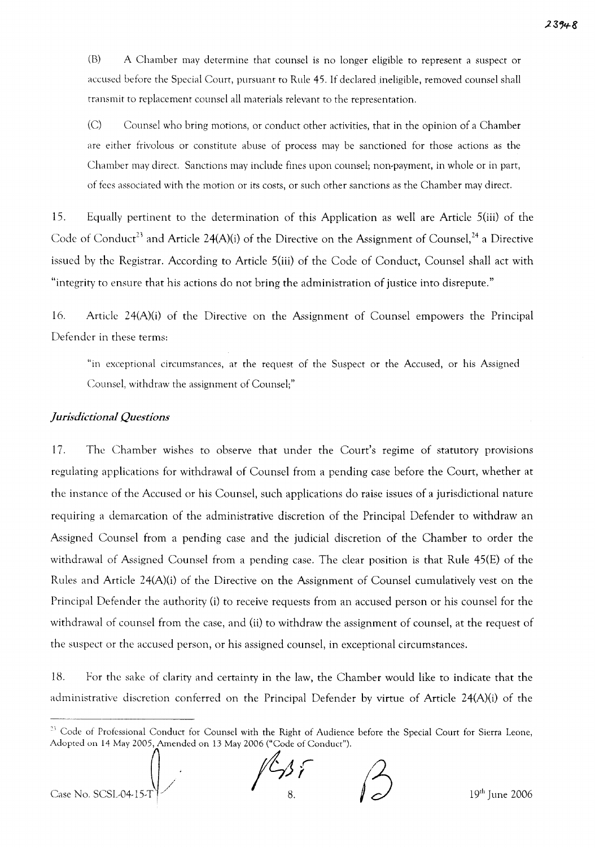(B) A Chamber may determine that counsel is no longer eligible to represent a suspect or accused before the Special Court, pursuant to Rule 45. If declared ineligible, removed counsel shall transmit to replacement counsel all materials relevant to the representation.

(C) Counsel who bring motions, or conduct other activities, that in the opinion of a Chamber are either frivolous or constitute abuse of process may be sanctioned for those actions as the Chamber may direct. Sanctions may include fines upon counsel; non-payment, in whole or in part, of fees associated with the motion or its costs, or such other sanctions as the Chamber may direct.

15. Equally pertinent to the determination of this Application as well are Article 5(iii) of the Code of Conduct<sup>23</sup> and Article 24(A)(i) of the Directive on the Assignment of Counsel,<sup>24</sup> a Directive issued by the Registrar. According to Article 5(iii) of the Code of Conduct, Counsel shall act with "integrity to ensure that his actions do not bring the administration of justice into disrepute."

16. Article 24(A)(i) of the Directive on the Assignment of Counsel empowers the Principal Defender in these terms:

"in exceptional circumstances, at the request of the Suspect or the Accused, or his Assigned Counsel, withdraw the assignment of Counsel;"

#### *Jurisdictional Questions*

17. The Chamber wishes to observe that under the Court's regime of statutory provisions regulating applications for withdrawal of Counsel from a pending case before the Court, whether at the instance of the Accused or his Counsel, such applications do raise issues of a jurisdictional nature requiring a demarcation of the administrative discretion of the Principal Defender to withdraw an Assigned Counsel from a pending case and the judicial discretion of the Chamber to order the withdrawal of Assigned Counsel from a pending case. The clear position is that Rule 45(£) of the Rules and Article 24(A)(i) of the Directive on the Assignment of Counsel cumulatively vest on the Principal Defender the authority (i) to receive requests from an accused person or his counsel for the withdrawal of counsel from the case, and (ii) to withdraw the assignment of counsel, at the request of the suspect or the accused person, or his assigned counsel, in exceptional circumstances.

18. For the sake of clarity and certainty in the law, the Chamber would like to indicate that the administrative discretion conferred on the Principal Defender by virtue of Article 24(A)(i) of the

/

 $\sqrt{5}$ 

<sup>&</sup>lt;sup>23</sup> Code of Professional Conduct for Counsel with the Right of Audience before the Special Court for Sierra Leone, Adopted on 14 May 2005, Amended on 13 May 2006 ("Code of Conduct").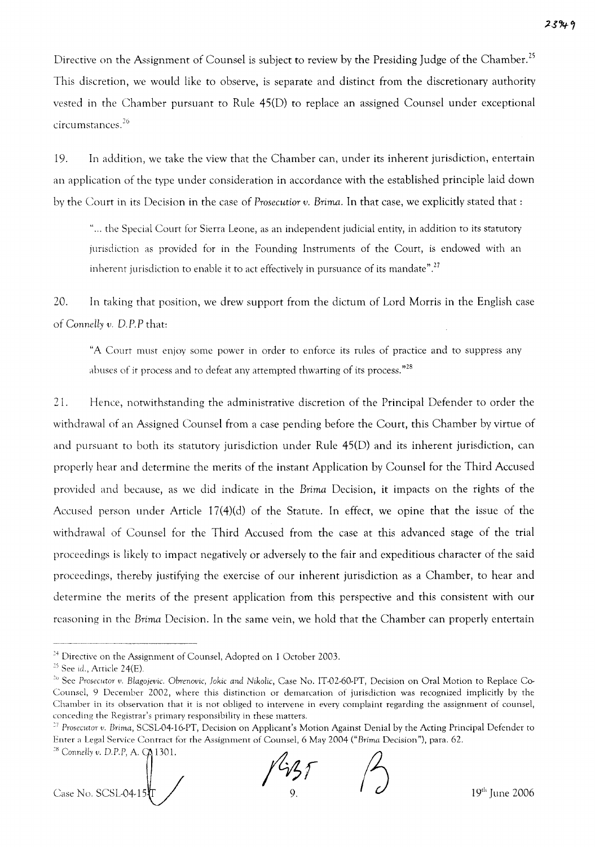Directive on the Assignment of Counsel is subject to review by the Presiding Judge of the Chamber.<sup>25</sup> This discretion, we would like to observe, is separate and distinct from the discretionary authority vested in the Chamber pursuant to Rule 45(D) to replace an assigned Counsel under exceptional circumstances. <sup>26</sup>

19. In addition, we take the view that the Chamber can, under its inherent jurisdiction, entertain an application of the type under consideration in accordance with the established principle laid down by the Court in its Decision in the case of *Prosecutior v.* Brima. In that case, we explicitly stated that:

"... the Special Court for Sierra Leone, as an independent judicial entity, in addition to its statutory jurisdiction as provided for in the Founding Instruments of the Court, is endowed with an inherent jurisdiction to enable it to act effectively in pursuance of its mandate".<sup>27</sup>

20. In taking that position, we drew support from the dictum of Lord Morris in the English case of Connelly *v.* D.P.P that:

"A Court must enjoy some power in order to enforce its rules of practice and to suppress any abuses of it process and to defeat any attempted thwarting of its process."<sup>28</sup>

21. Hence, notwithstanding the administrative discretion of the Principal Defender to order the withdrawal of an Assigned Counsel from a case pending before the Court, this Chamber by virtue of and pursuant to both its statutory jurisdiction under Rule 45(D) and its inherent jurisdiction, can properly hear and determine the merits of the instant Application by Counsel for the Third Accused provided and because, as we did indicate in the *Brima* Decision, it impacts on the rights of the Accused person under Article 17(4)(d) of the Statute. In effect, we opine that the issue of the withdrawal of Counsel for the Third Accused from the case at this advanced stage of the trial proceedings is likely to impact negatively or adversely to the fair and expeditious character of the said proceedings, thereby justifying the exercise of our inherent jurisdiction as a Chamber, to hear and determine the merits of the present application from this perspective and this consistent with our reasoning in the *Brima* Decision. In the same vein, we hold that the Chamber can properly entertain

Case No. SCSL-04.15 $\text{Tr}$  / 9. 19th June 2006

<sup>&</sup>lt;sup>24</sup> Directive on the Assignment of Counsel, Adopted on 1 October 2003.

<sup>&</sup>lt;sup>25</sup> See *id.*, Article 24(E).

<sup>&</sup>lt;sup>20</sup> See Prosecutor v. Blagojevic. Obrenovic, Jokic and Nikolic, Case No. IT-02-60-PT, Decision on Oral Motion to Replace Co-Counsel, 9 December 2002, where this distinction or demarcation of jurisdiction was recognized implicitly by the Chamber in its observation that it is not obliged to intervene in every complaint regarding the assignment of counsel, conceding the Registrar's primary responsibility in these matters.

*<sup>27</sup> Prosecutor v. Brima,* SCSL·04·16·PT, Decision on Applicant's Motion Against Denial by the Acting Principal Defender to Enter a Legal Service Contract for the Assignment of Counsel, 6 May 2004 *("Brima Decision")*, para. 62<sup>28</sup> Connelly v. D.P.P, A. C 1301.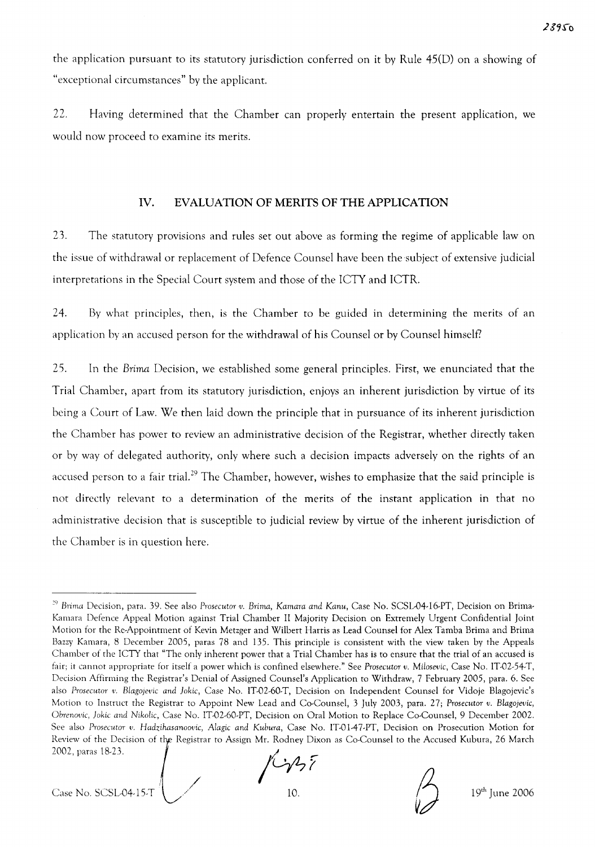the application pursuant to its statutory jurisdiction conferred on it by Rule 45(D) on a showing of "exceptional circumstances" by the applicant.

22. Having determined that the Chamber can properly entertain the present application, we would now proceed to examine its merits.

### **IV. EVALUATION OF MERITS OF THE APPLICATION**

23. The statutory provisions and rules set out above as forming the regime of applicable law on the issue of withdrawal or replacement of Defence Counsel have been the subject of extensive judicial interpretations in the Special Court system and those of the ICTY and ICTR.

24. By what principles, then, is the Chamber to be guided in determining the merits of an application by an accused person for the withdrawal of his Counsel or by Counsel himself?

25. In the Brima Decision, we established some general principles. First, we enunciated that the Trial Chamber, apart from its statutory jurisdiction, enjoys an inherent jurisdiction by virtue of its being a Court of Law. We then laid down the principle that in pursuance of its inherent jurisdiction the Chamber has power to review an administrative decision of the Registrar, whether directly taken or by way of delegated authority, only where such a decision impacts adversely on the rights of an accused person to a fair trial.<sup>29</sup> The Chamber, however, wishes to emphasize that the said principle is not directly relevant to a determination of the merits of the instant application in that no administrative decision that is susceptible to judicial review by virtue of the inherent jurisdiction of the Chamber is in question here.

Case No. SCSL-04-15-T  $\binom{1}{2}$  10.  $\binom{10}{2}$  19<sup>th</sup> June 2006



<sup>&#</sup>x27;9 Brima Decision, para. 39. See also *Prosecutor v.* Brima, *Kamara and Kanu,* Case No. SCSL-04-16-PT, Decision on Brima-Kamara Defence Appeal Motion against Trial Chamber II Majority Decision on Extremely Urgent Confidential Joint Motion for the Re-Appointment of Kevin Metzger and Wilbert Harris as Lead Counsel for Alex Tamba Brima and Brima Bazzy Kamara, 8 December 2005, paras 78 and 135. This principle is consistent with the view taken by the Appeals Chamber of the ICTY that "The only inherent power that a Trial Chamber has is to ensure that the trial of an accused is fair; it cannot appropriate for itself a power which is confined elsewhere." See *Prosecutor v.* Milosevic, Case No. IT-02-54-T, Decision Affirming thc Registrar's Denial of Assigned Counsel's Application to Withdraw, 7 February 2005, para. 6. See also *Prosecutor v. Blago]evic and* Jakie, Case No. IT-02-60-T, Decision on Independent Counsel for Vidoje Blagojevic's Motion to Instruct the Registrar to Appoint New Lead and Co-Counsel, 3 July 2003, para. 27; *Prosecutor v. Blago]evic, Ohrenovic, Jakie and* Nikolic, Casc No. IT-OZ-60-PT, Decision on Oral Motion to Replace Co-Counsel, 9 December 2002. See also Prosecutor v. Hadzihasanoovic, Alagic and Kubura, Case No. IT-01-47-PT, Decision on Prosecution Motion for Review of the Decision of the Registrar to Assign Mr. Rodney Dixon as Co-Counsel to the Accused Kubura, 26 March 2002, paras 18-23.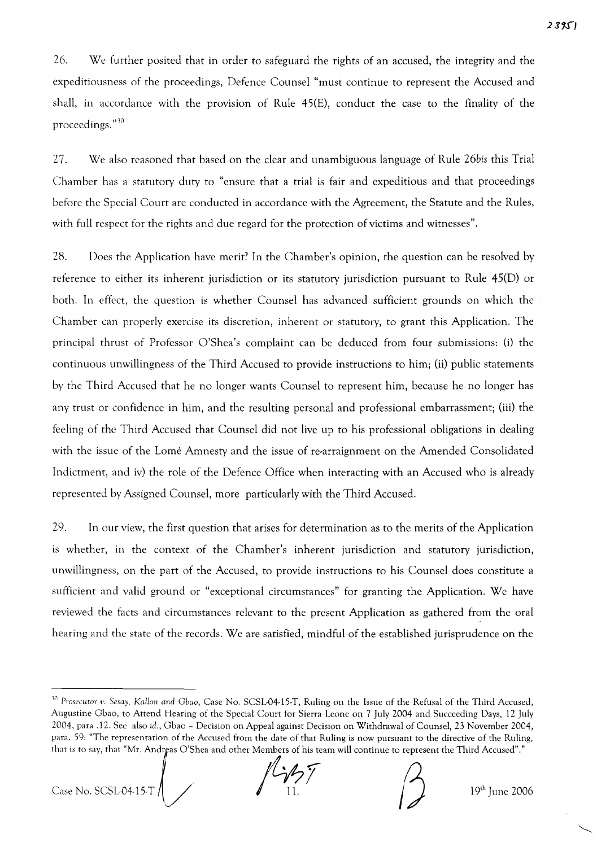26. We further posited that in order to safeguard the rights of an accused, the integrity and the expeditiousness of the proceedings, Defence Counsel "must continue to represent the Accused and shall, in accordance with the provision of Rule 45(E), conduct the case to the finality of the proceedings."30

27. We also reasoned that based on the clear and unambiguous language of Rule *26bis* this Trial Chamber has a statutory duty to "ensure that a trial is fair and expeditious and that proceedings before the Special Court are conducted in accordance with the Agreement, the Statute and the Rules, with full respect for the rights and due regard for the protection of victims and witnesses".

28. Does the Application have merit? In the Chamber's opinion, the question can be resolved by reference to either its inherent jurisdiction or its statutory jurisdiction pursuant to Rule 45(D) or both. In effect, the question is whether Counsel has advanced sufficient grounds on which the Chamber can properly exercise its discretion, inherent or statutory, to grant this Application. The principal thrust of Professor O'Shea's complaint can be deduced from four submissions: (i) the continuous unwillingness of the Third Accused to provide instructions to him; (ii) public statements by the Third Accused that he no longer wants Counsel to represent him, because he no longer has any trust or confidence in him, and the resulting personal and professional embarrassment; (iii) the feeling of the Third Accused that Counsel did not live up to his professional obligations in dealing with the issue of the Lomé Amnesty and the issue of re-arraignment on the Amended Consolidated Indictment, and iv) the role of the Defence Office when interacting with an Accused who is already represented by Assigned Counsel, more particularly with the Third Accused.

29. In our view, the first question that arises for determination as to the merits of the Application is whether, in the context of the Chamber's inherent jurisdiction and statutory jurisdiction, unwillingness, on the part of the Accused, to provide instructions to his Counsel does constitute a sufficient and valid ground or "exceptional circumstances" for granting the Application. We have reviewed the facts and circumstances relevant to the present Application as gathered from the oral hearing and the state of the records. We are satisfied, mindful of the established jurisprudence on the

Case No. SCSL-04-15-T  $\begin{pmatrix} 1 & 1 & 1 \ 1 & 1 & 1 \end{pmatrix}$  19th June 2006



*<sup>10</sup> Prosecutor* I'. *Sesay, KaHan and Gbaa,* Case No. SCSL-04·15·T, Ruling on the Issue of the Refusal of the Third Accused, Augustine Gbao, to Attend Hearing of the Special Court for Sierra Leone on 7 July 2004 and Succeeding Days, 12 July 2004, para .12. See also id., Gbao - Decision on Appeal against Decision on Withdrawal of Counsel, 23 November 2004, para. 59: "The representation of the Accused from the date of that Ruling is now pursuant to the directive of the Ruling, that is to say, that "Mr. Andreas O'Shea and other Members of his team will continue to represent the Third Accused"."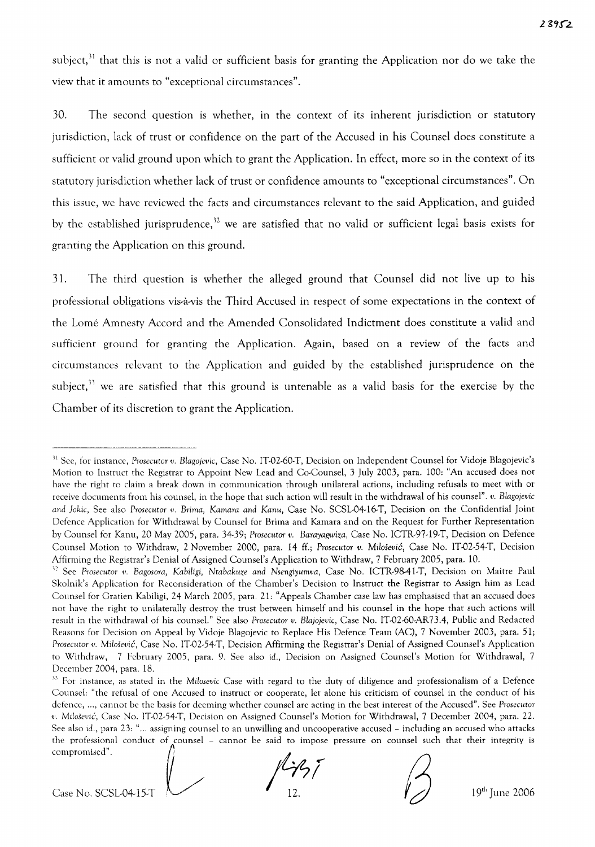subject,<sup>31</sup> that this is not a valid or sufficient basis for granting the Application nor do we take the view that it amounts to "exceptional circumstances",

30. The second question is whether, in the context of its inherent jurisdiction or statutory jurisdiction, lack of trust or confidence on the part of the Accused in his Counsel does constitute a sufficient or valid ground upon which to grant the Application, In effect, more so in the context of its statutory jurisdiction whether lack of trust or confidence amounts to "exceptional circumstances", On this issue, we have reviewed the facts and circumstances relevant to the said Application, and guided by the established jurisprudence,<sup>32</sup> we are satisfied that no valid or sufficient legal basis exists for granting the Application on this ground.

31. The third question is whether the alleged ground that Counsel did not live up to his professional obligations vis-a-vis the Third Accused in respect of some expectations in the context of the Lome Amnesty Accord and the Amended Consolidated Indictment does constitute a valid and sufficient ground for granting the Application. Again, based on a review of the facts and circumstances relevant to the Application and guided by the established jurisprudence on the subject,<sup>33</sup> we are satisfied that this ground is untenable as a valid basis for the exercise by the Chamber of its discretion to grant the Application.



JI See, for instance, *Prosecutor v. Blagojevic,* Case No. IT-02·60·T, Decision on Independent Counsel for Vidoje Blagojevic's Motion to Instruct the Registrar to Appoint New Lead and Co·Counsel, 3 July 2003, para. 100: "An accused does not have the right to claim a break down in communication through unilateral actions, including refusals to meet with or receive documents from his counsel, in the hope that such action will result in the withdrawal of his counsel". *v. Blagojevic and Jakie,* See also *Prosecutor v. Brima, Kamara and Kanu,* Case No. SCSL-04-16·T, Decision on the Confidential Joint Defence Application for Withdrawal by Counsel for Brima and Kamara and on the Request for Further Representation by Counsel for Kanu, 20 May 2005, para. 34·39; *Prosecutor v. Barayagwiza,* Case No. lCTR·97·19·T, Decision on Defence Counsel Motion to Withdraw, 2 November 2000, para. 14 ff.; Prosecutor v. Milošević, Case No. IT-02-54-T, Decision Affirming the Registrar's Denial of Assigned Counsel's Application to Withdraw, 7 February 2005, para. 10.

J2 See *Prosecutor v. Bagosora, Kabiligi, Ntabakuze and Nsengiyumva,* Case No. lCTR·98-41·T, Decision on Maitre Paul Skolnik's Application for Reconsideration of the Chamber's Decision to Instruct the Registrar to Assign him as Lead Counsel for Gratien Kabiligi, 24 March 2005, para. 21: "Appeals Chamber case law has emphasised that an accused does not have the right to unilaterally destroy the trust between himself and his counsel in the hope that such actions will result in the withdrawal of his counsel." See also *Prosecutor v. Blajojevic,* Case No. IT-02·60·AR73.4, Public and Redacted Reasons for Decision on Appeal by Vidoje Blagojevic to Replace His Defence Team (AC), 7 November 2003, para. 51; *Prosecutor* v. *Milošević*, Case No. IT-02-54-T, Decision Affirming the Registrar's Denial of Assigned Counsel's Application to Withdraw, 7 February 2005, para. 9. See also *id.,* Decision on Assigned Counsel's Motion for Withdrawal, 7 December 2004, para. 18.

<sup>11</sup> For instance, as stated in the *Milosevic* Case with regard to the duty of diligence and professionalism of a Defence Counsel: "the refusal of one Accused to instruct or cooperate, let alone his criticism of counsel in the conduct of his defence, ..., cannot be the basis for deeming whether counsel are acting in the best interest of the Accused". See *Prosecutor* v. Milošević, Case No. IT-02-54-T, Decision on Assigned Counsel's Motion for Withdrawal, 7 December 2004, para. 22. See also *id.,* para 23: "... assigning counsel to an unwilling and uncooperative accused - including an accused who attacks the professional conduct of counsel - cannot be said to impose pressure on counsel such that their integrity is the protessional conduct of counsel – cannot be said to impose pressure on counsel such<br>compromised".<br>Case No. SCSL-04-15-T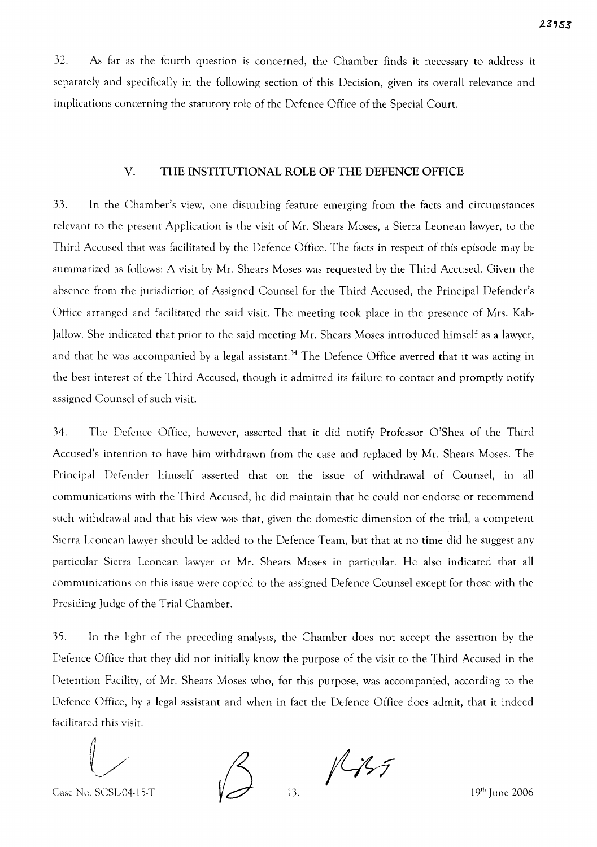32. As far as the fourth question is concerned, the Chamber finds it necessary to address it separately and specifically in the following section of this Decision, given its overall relevance and implications concerning the statutory role of the Defence Office of the Special Court.

### V. **THE INSTITUTIONAL ROLE OF THE DEFENCE OFFICE**

33. In the Chamber's view, one disturbing feature emerging from the facts and circumstances relevant to the present Application is the visit of Mr. Shears Moses, a Sierra Leonean lawyer, to the Third Accused that was facilitated by the Defence Office. The facts in respect of this episode may be summarized as follows: A visit by Mr. Shears Moses was requested by the Third Accused. Given the absence from the jurisdiction of Assigned Counsel for the Third Accused, the Principal Defender's Office arranged and facilitated the said visit. The meeting took place in the presence of Mrs. Kah-Jallow. She indicated that prior to the said meeting Mr. Shears Moses introduced himself as a lawyer, and that he was accompanied by a legal assistant.<sup>34</sup> The Defence Office averred that it was acting in the best interest of the Third Accused, though it admitted its failure to contact and promptly notify assigned Counsel of such visit.

34. The Defence Office, however, asserted that it did notify Professor O'Shea of the Third Accused's intention to have him withdrawn from the case and replaced by Mr. Shears Moses. The Principal Defender himself asserted that on the issue of withdrawal of Counsel, in all communications with the Third Accused, he did maintain that he could not endorse or recommend such withdrawal and that his view was that, given the domestic dimension of the trial, a competent Sierra Leonean lawyer should be added to the Defence Team, but that at no time did he suggest any particular Sierra Leonean lawyer or Mr. Shears Moses in particular. He also indicated that all communications on this issue were copied to the assigned Defence Counsel except for those with the Presiding Judge of the Trial Chamber.

35. In the light of the preceding analysis, the Chamber does not accept the assertion by the Defence Office that they did not initially know the purpose of the visit to the Third Accused in the Detention Facility, of Mr. Shears Moses who, for this purpose, was accompanied, according to the Defence Office, by a legal assistant and when in fact the Defence Office does admit, that it indeed facilitated this visit.

 $\overline{\phantom{a}}$ 

Case No. SCSL-04-15-T  $\sqrt{ }$  13. 19th June 2006

 $1455$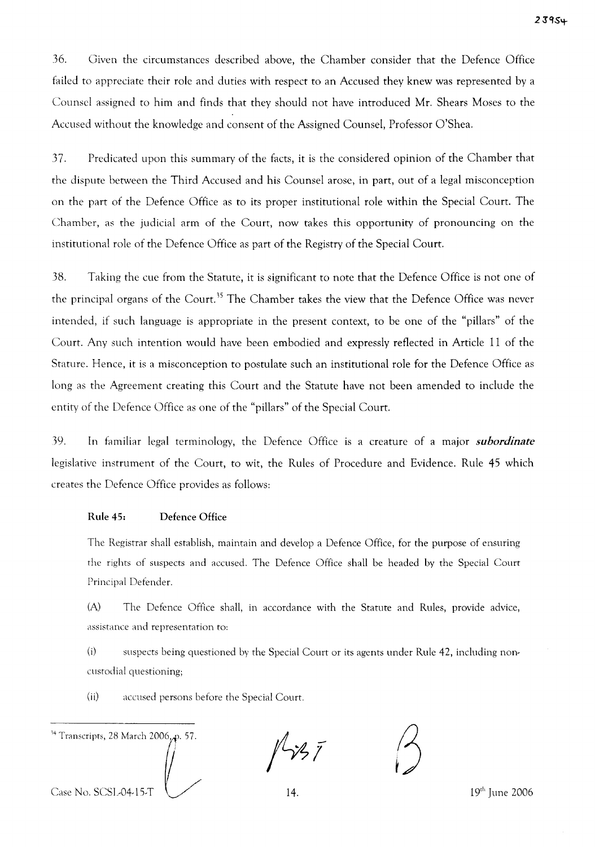36. Given the circumstances described above, the Chamber consider that the Defence Office failed to appreciate their role and duties with respect to an Accused they knew was represented by a Counsel assigned to him and finds that they should not have introduced Mr. Shears Moses to the Accused without the knowledge and consent of the Assigned Counsel, Professor O'Shea.

37. Predicated upon this summary of the facts, it is the considered opinion of the Chamber that the dispute between the Third Accused and his Counsel arose, in part, out of a legal misconception on the part of the Defence Office as to its proper institutional role within the Special Court. The Chamber, as the judicial arm of the Court, now takes this opportunity of pronouncing on the institutional role of the Defence Office as part of the Registry of the Special Court.

38. Taking the cue from the Statute, it is significant to note that the Defence Office is not one of the principal organs of the Court.<sup>35</sup> The Chamber takes the view that the Defence Office was never intended, if such language is appropriate in the present context, to be one of the "pillars" of the Court. Any such intention would have been embodied and expressly reflected in Article 11 of the Stature. Hence, it is a misconception to postulate such an institutional role for the Defence Office as long as the Agreement creating this Court and the Statute have not been amended to include the entity of the Defence Office as one of the "pillars" of the Special Court.

39. In familiar legal terminology, the Defence Office is a creature of a major *subordinate* legislative instrument of the Court, to wit, the Rules of Procedure and Evidence. Rule 45 which creates the Defence Office provides as follows:

#### Rule 45: Defence Office

The Registrar shall establish, maintain and develop a Defence Office, for the purpose of ensuring the rights of suspects and accused. The Defence Office shall be headed by the Special Court Principal Defender.

(A) The Defence Office shall, in accordance with the Statute and Rules, provide advice, assistance and representation to:

(i) suspects being questioned by the Special Court or its agents under Rule 42, including noncustodial questioning;

(ii) accused persons before the Special Court.

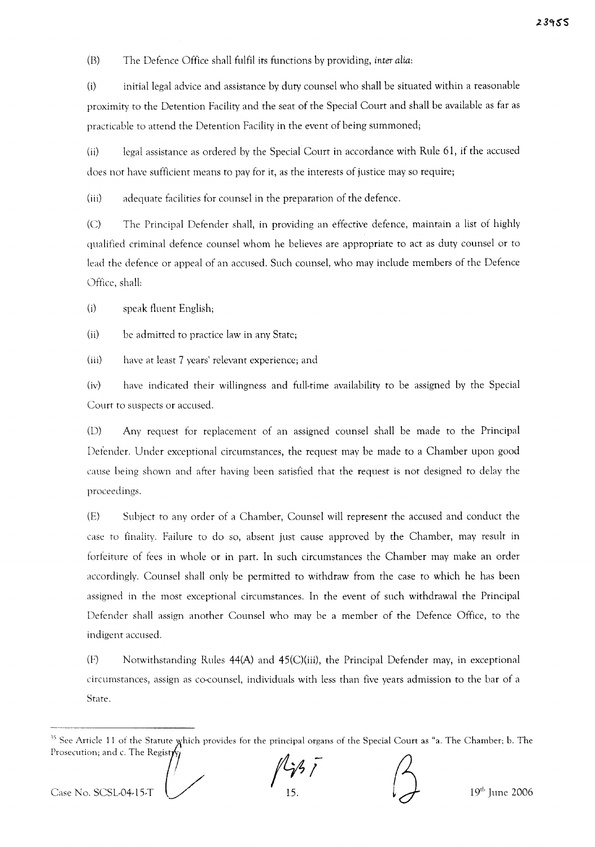(B) The Defence Office shall fulfil its functions by providing, *inter alia:*

(i) initial legal advice and assistance by duty counsel who shall be situated within a reasonable proximity to the Detention Facility and the seat of the Special Court and shall be available as far as practicable to attend the Detention Facility in the event of being summoned;

(ii) legal assistance as ordered by the Special Court in accordance with Rule 61, if the accused does not have sufficient means to pay for it, as the interests of justice may so require;

(iii) adequate facilities for counsel in the preparation of the defence.

(C) The Principal Defender shall, in providing an effective defence, maintain a list of highly qualified criminal defence counsel whom he believes are appropriate to act as duty counsel or to lead the defence or appeal of an accused. Such counsel, who may include members of the Defence Office, shall:

(i) speak fluent English;

(ii) be admitted to practice law in any State;

(iii) have at least 7 years' relevant experience; and

 $\chi$  (iv) have indicated their willingness and full-time availability to be assigned by the Special Court to suspects or accused.

(0) Any request for replacement of an assigned counsel shall be made to the Principal Defender. Under exceptional circumstances, the request may be made to a Chamber upon good cause being shown and after having been satisfied that the request is not designed to delay the proceedings.

(E) Subject to any order of a Chamber, Counsel will represent the accused and conduct the case to finality. Failure to do so, absent just cause approved by the Chamber, may result in forfeiture of fees in whole or in part. In such circumstances the Chamber may make an order accordingly. Counsel shall only be permitted to withdraw from the case to which he has been assigned in the most exceptional circumstances. In the event of such withdrawal the Principal Defender shall assign another Counsel who may be a member of the Defence Office, to the indigent accused.

(F) Notwithstanding Rules 44(A) and 45(C)(iii), the Principal Defender may, in exceptional circumstances, assign as co-counsel, individuals with less than five years admission to the bar of a State.

Case No. SCSL-04-15-T  $\begin{bmatrix} 1 & 0 & 0 \\ 0 & 15 & 0 \\ 0 & 0 & 19^{\text{th}}} \end{bmatrix}$  19<sup>th</sup> June 2006

<sup>&</sup>lt;sup>35</sup> See Article 11 of the Statute which provides for the principal organs of the Special Court as "a. The Chamber; b. The Prosecution; and c. The Registry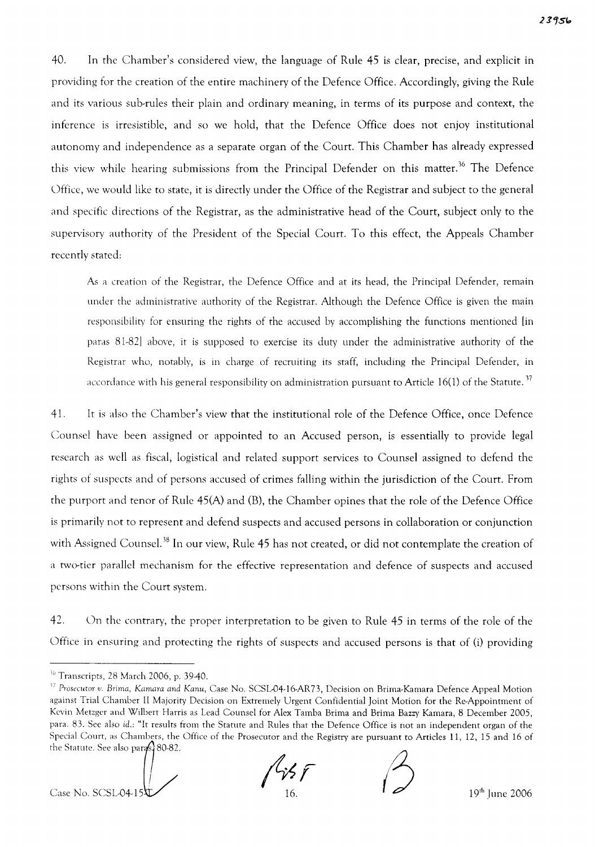40. In the Chamber's considered view, the language of Rule 45 is clear, precise, and explicit in providing for the creation of the entire machinery of the Defence Office. Accordingly, giving the Rule and its various sub-rules their plain and ordinary meaning, in terms of its purpose and context, the inference is irresistible, and so we hold, that the Defence Office does not enjoy institutional autonomy and independence as a separate organ of the Court. This Chamber has already expressed this view while hearing submissions from the Principal Defender on this matter.<sup>36</sup> The Defence Office, we would like to state, it is directly under the Office of the Registrar and subject to the general and specific directions of the Registrar, as the administrative head of the Court, subject only to the supervisory authority of the President of the Special Court. To this effect, the Appeals Chamber recently stated:

As a creation of the Registrar, the Defence Office and at its head, the Principal Defender, remain under the administrative authority of the Registrar. Although the Defence Office is given the main responsibility for ensuring the rights of the accused by accomplishing the functions mentioned [in paras 81-82] above, it is supposed to exercise its duty under the administrative authority of the Registrar who, notably, is in charge of recruiting its staff, including the Principal Defender, in accordance with his general responsibility on administration pursuant to Article  $16(1)$  of the Statute.<sup>37</sup>

41. It is also the Chamber's view that the institutional role of the Defence Office, once Defence Counsel have been assigned or appointed to an Accused person, is essentially to provide legal research as well as fiscal, logistical and related support services to Counsel assigned to defend the rights of suspects and of persons accused of crimes falling within the jurisdiction of the Court. From the purport and tenor of Rule 45(A) and (B), the Chamber opines that the role of the Defence Office is primarily not to represent and defend suspects and accused persons in collaboration or conjunction with Assigned Counsel.<sup>38</sup> In our view, Rule 45 has not created, or did not contemplate the creation of a two-tier parallel mechanism for the effective representation and defence of suspects and accused persons within the Court system.

42. On the contrary, the proper interpretation to be given to Rule 45 in terms of the role of the Office in ensuring and protecting the rights of suspects and accused persons is that of (i) providing



 $16$  Transcripts, 28 March 2006, p. 39-40.

<sup>&</sup>lt;sup>37</sup> Prosecutor v. Brima, Kamara and Kanu, Case No. SCSL-04-16-AR73, Decision on Brima-Kamara Defence Appeal Motion against Trial Chamber <sup>11</sup> Majority Decision on Extremely Urgent Confidential Joint Motion for the Re-Appointment of Kevin Metzger and Wilbert Harris as Lead Counsel for Alex Tamba Brima and Brima Bazzy Kamara, 8 December 2005, para. 83. See also *id.:* "It results from the Statute and Rules that the Defence Office is not an independent organ of the SpeClal Court, as Chambers, the OffIce of the Prosecutor and the Registry are pursuant to Articles 11, 12, 15 and 16 of para. 83. See also id.: "It results from the Statute and Rules that the Defence Office is not<br>Special Court, as Chambers, the Office of the Prosecutor and the Registry are pursuant to<br>the Statute. See also para<sup>8</sup> 80-82.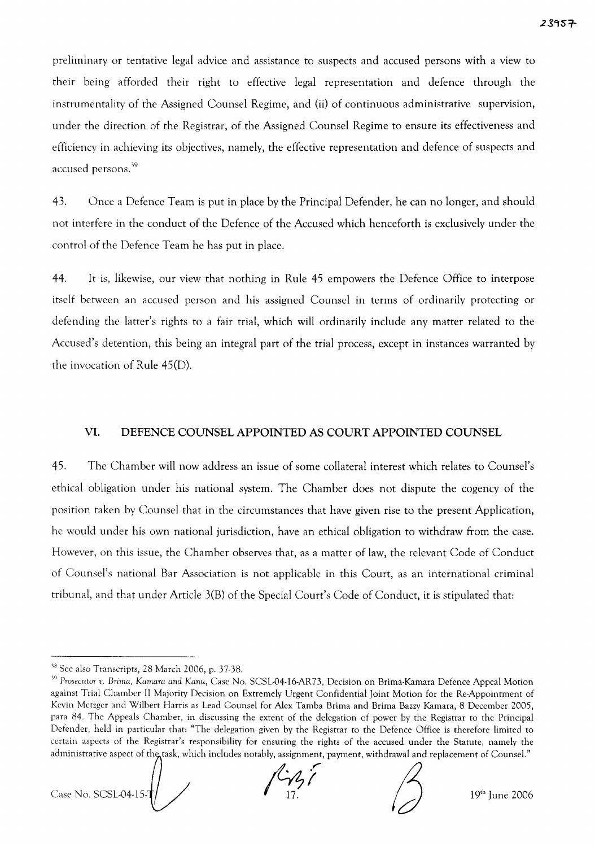preliminary or tentative legal advice and assistance to suspects and accused persons with a view to their being afforded their right to effective legal representation and defence through the instrumentality of the Assigned Counsel Regime, and (ii) of continuous administrative supervision, under the direction of the Registrar, of the Assigned Counsel Regime to ensure its effectiveness and efficiency in achieving its objectives, namely, the effective representation and defence of suspects and accused persons.<sup>39</sup>

43. Once a Defence Team is put in place by the Principal Defender, he can no longer, and should not interfere in the conduct of the Defence of the Accused which henceforth is exclusively under the control of the Defence Team he has put in place.

44. It is, likewise, our view that nothing in Rule 45 empowers the Defence Office to interpose itself between an accused person and his assigned Counsel in terms of ordinarily protecting or defending the latter's rights to a fair trial, which will ordinarily include any matter related to the Accused's detention, this being an integral part of the trial process, except in instances warranted by the invocation of Rule 45(D).

## VI. DEFENCE COUNSEL APPOINTED AS COURT APPOINTED COUNSEL

45. The Chamber will now address an issue of some collateral interest which relates to Counsel's ethical obligation under his national system. The Chamber does not dispute the cogency of the position taken by Counsel that in the circumstances that have given rise to the present Application, he would under his own national jurisdiction, have an ethical obligation to withdraw from the case. However, on this issue, the Chamber observes that, as a matter of law, the relevant Code of Conduct of Counsel's national Bar Association is not applicable in this Court, as an international criminal tribunal, and that under Article 3(B) of the Special Court's Code of Conduct, it is stipulated that:



<sup>&</sup>lt;sup>38</sup> See also Transcripts, 28 March 2006, p. 37-38.

<sup>&</sup>lt;sup>39</sup> Prosecutor v. Brima, *Kamara and Kanu*, Case No. SCSL-04-16-AR73, Decision on Brima-Kamara Defence Appeal Motion against Trial Chamber II Majority Decision on Extremely Urgent Confidential Joint Motion for the Re-Appointment of Kevin Metzger and Wilbert Harris as Lead Counsel for Alex Tamba Brima and Brima Bazzy Kamara, 8 December 2005, para 84. The Appeals Chamber, in discussing the extent of the delegation of power by the Registrar to the Principal Defender, held in particular that: "The delegation given by the Registrar to the Defence Office is therefore limited to certain aspects of the Registrar's responsibility for ensuring the rights of the accused under the Statute, namely the Case No. SCSL-04-15.<br>Case No. SCSL-04-15.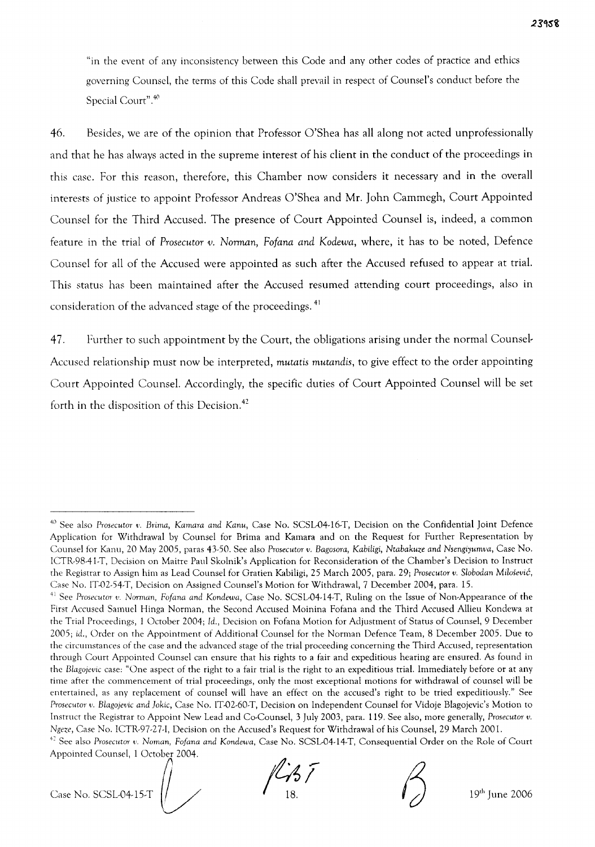"in the event of any inconsistency between this Code and any other codes of practice and ethics governing Counsel, the terms of this Code shall prevail in respect of Counsel's conduct before the Special Court".40

46. Besides, we are of the opinion that Professor O'Shea has all along not acted unprofessionally and that he has always acted in the supreme interest of his client in the conduct of the proceedings in this case. For this reason, therefore, this Chamber now considers it necessary and in the overall interests of justice to appoint Professor Andreas O'Shea and Mr. John Cammegh, Court Appointed Counsel for the Third Accused. The presence of Court Appointed Counsel is, indeed, a common feature in the trial of *Prosecutor v. Norman, Fofana and Kodewa,* where, it has to be noted, Defence Counsel for all of the Accused were appointed as such after the Accused refused to appear at trial. This status has been maintained after the Accused resumed attending court proceedings, also in consideration of the advanced stage of the proceedings. <sup>41</sup>

47. Further to such appointment by the Court, the obligations arising under the normal Counsel-Accused relationship must now be interpreted, *mutatis mutandis,* to give effect to the order appointing Court Appointed Counsel. Accordingly, the specific duties of Court Appointed Counsel will be set forth in the disposition of this Decision.<sup>42</sup>

4' See also *Prosecutor v. Noman, Fofana and Kondewa,* Case No. SCSL-04-14-T, Consequential Order on the Role of Court

Appointed Counsel, 1 October 2004.<br>Case No. SCSL04-15-T  $\begin{pmatrix} \frac{1}{2} & \frac{1}{2} & \frac{1}{2} \\ \frac{1}{2} & \frac{1}{2} & \frac{1}{2} \\ \frac{1}{2} & \frac{1}{2} & \frac{1}{2} \end{pmatrix}$  19<sup>th</sup> June 2006



<sup>40</sup> See also *Prosecutor v. Brima, Kamara and Kanu,* Case No. SCSL-04·16·T, Decision on the Confidential Joint Defence Application for Withdrawal by Counsel for Brima and Kamara and on the Request for Further Representation by Counsel for Kanu, 20 May 2005, paras 43·50. See also *Prosecutor v. Bagosora, Kabiligi, Ntabakuze and Nsengiyumva,* Case No. ICTR·98-41-T, Decision on Maitre Paul Skolnik's Application for Reconsideration of the Chamber's Decision to Instruct the Registrar to Assign him as Lead Counsel for Gratien Kabiligi, 25 March 2005, para. 29; *Prosecutor v. Slobodan Milosevi6,* Case No. IT-02-54·T, Decision on Assigned Counsel's Motion for Withdrawal, 7 December 2004, para. 15.

<sup>4</sup>l See *Prosecutor v. Norman, Fofana and Kondewa,* Case No. SCSL-04·14·T, Ruling on the Issue of Non.Appearance of the First Accused Samuel Hinga Norman, the Second Accused Moinina Fofana and the Third Accused Allieu Kondewa at the Trial Proceedings, 1 October 2004; Id., Decision on Fofana Motion for Adjustment of Status of Counsel, 9 December *2005; id.,* Order on the Appointment of Additional Counsel for the Norman Defence Team, 8 December 2005. Due to the circumstances of the case and the advanced stage of the trial proceeding concerning the Third Accused, representation through Court Appointed Counsel can ensure that his rights to a fair and expeditious hearing are ensured. As found in the *Blagojevic* case: "One aspect of the right to a fair trial is the right to an expeditious trial. Immediately before or at any time after the commencement of trial proceedings, only the most exceptional motions for withdrawal of counsel will be entertained, as any replacement of counsel will have an effect on the accused's right to be tried expeditiously." See *Prosecutor v. Blagojevic and Jokic,* Case No. IT·02-60-T, Decision on Independent Counsel for Vidoje Blagojevic's Motion to Instruct the Registrar to Appoint New Lead and Co·Counsel, 3 July 2003, para. 119. See also, more generally, *Prosecutor v. Ngeze*, Case No. ICTR-97-27-I, Decision on the Accused's Request for Withdrawal of his Counsel, 29 March 2001.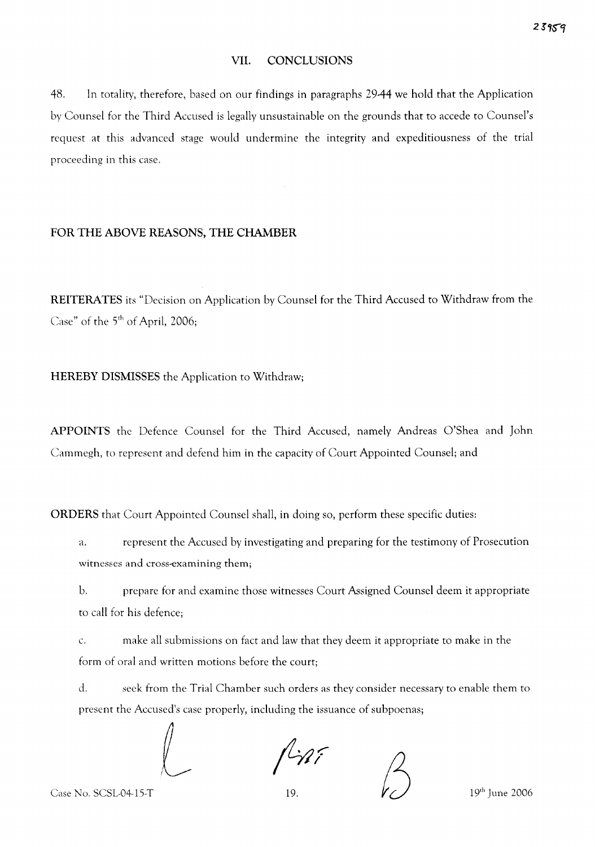#### **VII. CONCLUSIONS**

48. In totality, therefore, based on our findings in paragraphs 29-44 we hold that the Application by Counsel for the Third Accused is legally unsustainable on the grounds that to accede to Counsel's request at this advanced stage would undermine the integrity and expeditiousness of the trial proceeding in this case.

### **FOR THE ABOVE REASONS, THE CHAMBER**

**REITERATES** its "Decision on Application by Counsel for the Third Accused to Withdraw from the Case" of the  $5<sup>th</sup>$  of April, 2006;

**HEREBY DISMISSES** the Application to Withdraw;

**APPOINTS** the Defence Counsel for the Third Accused, namely Andreas O'Shea and John Cammegh, to represent and defend him in the capacity of Court Appointed Counsel; and

**ORDERS** that Court Appointed Counsel shall, in doing so, perform these specific duties:

a. represent the Accused by investigating and preparing for the testimony of Prosecution witnesses and cross-examining them;

b. prepare for and examine those witnesses Court Assigned Counsel deem it appropriate to call for his defence;

c. make all submissions on fact and law that they deem it appropriate to make in the form of oral and written motions before the court;

d. seek from the Trial Chamber such orders as they consider necessary to enable them to present the Accused's case properly, including the issuance of subpoenas;

 $\mu_{\mathscr{U}^{\mathscr{F}}}$ 

Case No. SCSL-04-15-T 19. 19th  $\mathcal{U}\sim\mathcal{U}$  19th June 2006